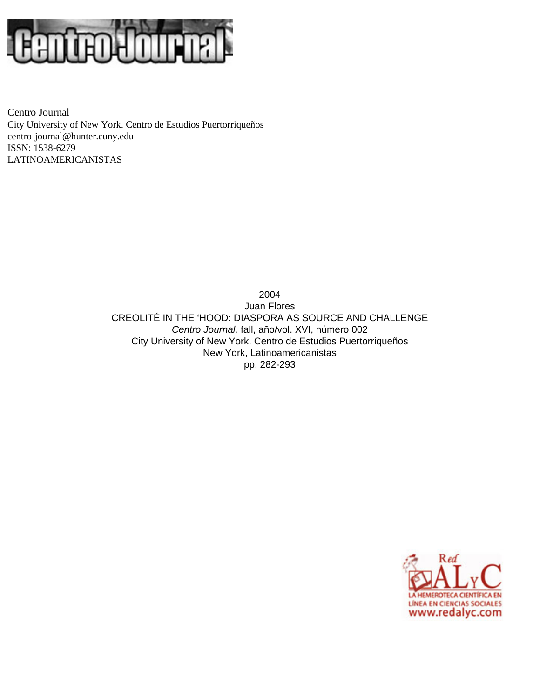

Centro Journal City University of New York. Centro de Estudios Puertorriqueños [centro-journal@hunter.cuny.edu](mailto:centro-journal@hunter.cuny.edu) ISSN: 1538-6279 LATINOAMERICANISTAS

> 2004 Juan Flores CREOLITÉ IN THE 'HOOD: DIASPORA AS SOURCE AND CHALLENGE *Centro Journal,* fall, año/vol. XVI, número 002 City University of New York. Centro de Estudios Puertorriqueños New York, Latinoamericanistas pp. 282-293

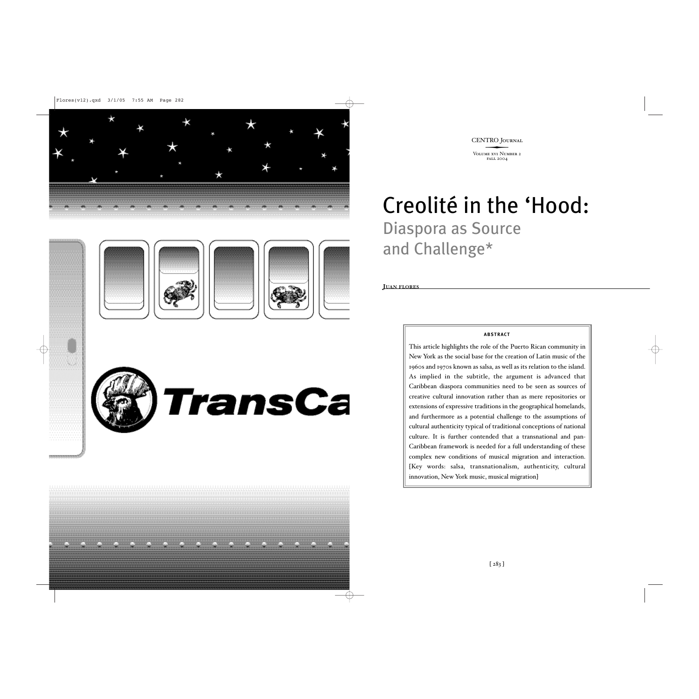



# Creolité in the 'Hood: Diaspora as Source and Challenge\*

**JUAN FLORES**

### **ABSTRACT**

This article highlights the role of the Puerto Rican community in New York as the social base for the creation of Latin music of the 1960s and 1970s known as salsa, as well as its relation to the island. As implied in the subtitle, the argument is advanced that Caribbean diaspora communities need to be seen as sources of creative cultural innovation rather than as mere repositories or extensions of expressive traditions in the geographical homelands, and furthermore as a potential challenge to the assumptions of cultural authenticity typical of traditional conceptions of national culture. It is further contended that a transnational and pan-Caribbean framework is needed for a full understanding of these complex new conditions of musical migration and interaction. [Key words: salsa, transnationalism, authenticity, cultural innovation, New York music, musical migration]

. . . . . . . . . . . . .

TransCa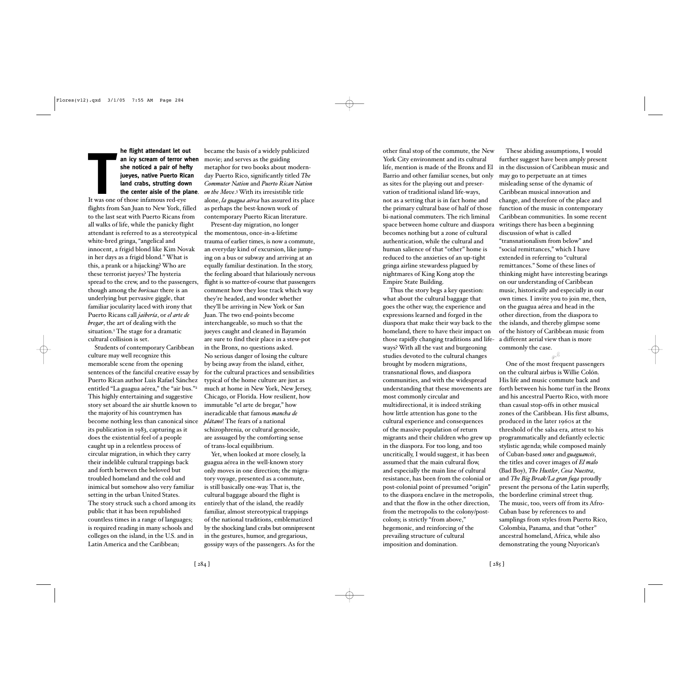# **THE TENN SERVIE SERVIE SERVIE SERVIE SERVIE SERVIE SERVIE SERVIE SERVIE SERVIE SERVIES THE THOSE IN THE SERVIES OF THE SERVIES OF THE SERVIES OF THE SERVIES OF THE SERVIES OF THE SERVIES OF THE SERVIES OF THE SERVIES OF T he flight attendant let out an icy scream of terror when she noticed a pair of hefty jueyes, native Puerto Rican land crabs, strutting down the center aisle of the plane**.

flights from San Juan to New York, filled to the last seat with Puerto Ricans from all walks of life, while the panicky flight attendant is referred to as a stereotypical white-bred gringa, "angelical and innocent, a frigid blond like Kim Novak in her days as a frigid blond." What is this, a prank or a hijacking? Who are these terrorist jueyes? The hysteria spread to the crew, and to the passengers, though among the *boricuas* there is an underlying but pervasive giggle, that familiar jocularity laced with irony that Puerto Ricans call *jaibería*, or *el arte de bregar*, the art of dealing with the situation.<sup>1</sup> The stage for a dramatic cultural collision is set.

Students of contemporary Caribbean culture may well recognize this memorable scene from the opening sentences of the fanciful creative essay by Puerto Rican author Luis Rafael Sánchez entitled "La guagua aérea," the "air bus."<sup>2</sup> This highly entertaining and suggestive story set aboard the air shuttle known to the majority of his countrymen has become nothing less than canonical since its publication in 1983, capturing as it does the existential feel of a people caught up in a relentless process of circular migration, in which they carry their indelible cultural trappings back and forth between the beloved but troubled homeland and the cold and inimical but somehow also very familiar setting in the urban United States. The story struck such a chord among its public that it has been republished countless times in a range of languages; is required reading in many schools and colleges on the island, in the U.S. and in Latin America and the Caribbean;

became the basis of a widely publicized movie; and serves as the guiding metaphor for two books about modernday Puerto Rico, significantly titled *The Commuter Nation* and *Puerto Rican Nation on the Move*.3With its irresistible title alone, *la guagua aérea* has assured its place as perhaps the best-known work of contemporary Puerto Rican literature.

Present-day migration, no longer the momentous, once-in-a-lifetime trauma of earlier times, is now a commute, an everyday kind of excursion, like jumping on a bus or subway and arriving at an equally familiar destination. In the story, the feeling aboard that hilariously nervous flight is so matter-of-course that passengers comment how they lose track which way they're headed, and wonder whether they'll be arriving in New York or San Juan. The two end-points become interchangeable, so much so that the jueyes caught and cleaned in Bayamón are sure to find their place in a stew-pot in the Bronx, no questions asked. No serious danger of losing the culture by being away from the island, either, for the cultural practices and sensibilities typical of the home culture are just as much at home in New York, New Jersey, Chicago, or Florida. How resilient, how immutable "el arte de bregar," how ineradicable that famous *mancha de plátano*! The fears of a national schizophrenia, or cultural genocide, are assuaged by the comforting sense of trans-local equilibrium.

Yet, when looked at more closely, la guagua aérea in the well-known story only moves in one direction; the migratory voyage, presented as a commute, is still basically one-way. That is, the cultural baggage aboard the flight is entirely that of the island, the readily familiar, almost stereotypical trappings of the national traditions, emblematized by the shocking land crabs but omnipresent in the gestures, humor, and gregarious, gossipy ways of the passengers. As for the other final stop of the commute, the New York City environment and its cultural life, mention is made of the Bronx and El Barrio and other familiar scenes, but only as sites for the playing out and preservation of traditional island life-ways, not as a setting that is in fact home and the primary cultural base of half of those bi-national commuters. The rich liminal space between home culture and diaspora writings there has been a beginning becomes nothing but a zone of cultural authentication, while the cultural and human salience of that "other" home is reduced to the anxieties of an up-tight gringa airline stewardess plagued by nightmares of King Kong atop the Empire State Building.

Thus the story begs a key question: what about the cultural baggage that goes the other way, the experience and expressions learned and forged in the diaspora that make their way back to the homeland, there to have their impact on those rapidly changing traditions and lifeways? With all the vast and burgeoning studies devoted to the cultural changes brought by modern migrations, transnational flows, and diaspora communities, and with the widespread understanding that these movements are most commonly circular and multidirectional, it is indeed striking how little attention has gone to the cultural experience and consequences of the massive population of return migrants and their children who grew up in the diaspora. For too long, and too uncritically, I would suggest, it has been assumed that the main cultural flow, and especially the main line of cultural resistance, has been from the colonial or post-colonial point of presumed "origin" to the diaspora enclave in the metropolis, and that the flow in the other direction, from the metropolis to the colony/postcolony, is strictly "from above," hegemonic, and reinforcing of the prevailing structure of cultural imposition and domination.

further suggest have been amply present in the discussion of Caribbean music and may go to perpetuate an at times misleading sense of the dynamic of Caribbean musical innovation and change, and therefore of the place and function of the music in contemporary Caribbean communities. In some recent discussion of what is called "transnationalism from below" and "social remittances," which I have extended in referring to "cultural remittances." Some of these lines of thinking might have interesting bearings on our understanding of Caribbean music, historically and especially in our own times. I invite you to join me, then, on the guagua aérea and head in the other direction, from the diaspora to the islands, and thereby glimpse some of the history of Caribbean music from a different aerial view than is more commonly the case.

These abiding assumptions, I would

**5)** One of the most frequent passengers on the cultural airbus is Willie Colón. His life and music commute back and forth between his home turf in the Bronx and his ancestral Puerto Rico, with more than casual stop-offs in other musical zones of the Caribbean. His first albums, produced in the later 1960s at the threshold of the salsa era, attest to his programmatically and defiantly eclectic stylistic agenda; while composed mainly of Cuban-based *sones* and *guaguancós*, the titles and cover images of *El malo* (Bad Boy), *The Hustler*, *Cosa Nuestra*, and *The Big Break/La gran fuga* proudly present the persona of the Latin superfly, the borderline criminal street thug. The music, too, veers off from its Afro-Cuban base by references to and samplings from styles from Puerto Rico, Colombia, Panama, and that "other" ancestral homeland, Africa, while also demonstrating the young Nuyorican's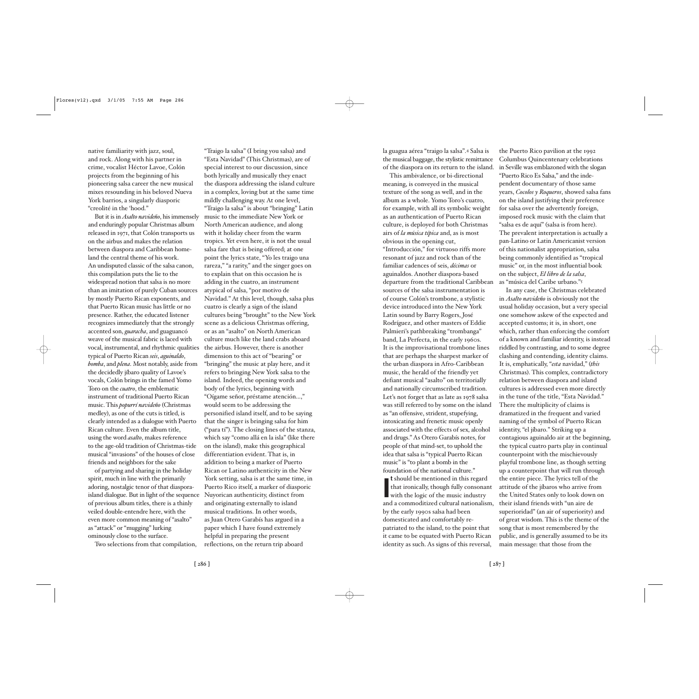native familiarity with jazz, soul, and rock. Along with his partner in crime, vocalist Héctor Lavoe, Colón projects from the beginning of his pioneering salsa career the new musical mixes resounding in his beloved Nueva York barrios, a singularly diasporic "creolité in the 'hood."

But it is in *Asalto navideño*, his immensely and enduringly popular Christmas album released in 1971, that Colón transports us on the airbus and makes the relation between diaspora and Caribbean homeland the central theme of his work. An undisputed classic of the salsa canon, this compilation puts the lie to the widespread notion that salsa is no more than an imitation of purely Cuban sources by mostly Puerto Rican exponents, and that Puerto Rican music has little or no presence. Rather, the educated listener recognizes immediately that the strongly accented son, *guaracha*, and guaguancó weave of the musical fabric is laced with vocal, instrumental, and rhythmic qualities typical of Puerto Rican *seis*, *aguinaldo*, *bomba*, and *plena*. Most notably, aside from the decidedly jíbaro quality of Lavoe's vocals, Colón brings in the famed Yomo Toro on the *cuatro*, the emblematic instrument of traditional Puerto Rican music. This *popurrí navideño* (Christmas medley), as one of the cuts is titled, is clearly intended as a dialogue with Puerto Rican culture. Even the album title, using the word *asalto*, makes reference to the age-old tradition of Christmas-tide musical "invasions" of the houses of close friends and neighbors for the sake

of partying and sharing in the holiday spirit, much in line with the primarily adoring, nostalgic tenor of that diasporaisland dialogue. But in light of the sequence of previous album titles, there is a thinly veiled double-entendre here, with the even more common meaning of "asalto" as "attack" or "mugging" lurking ominously close to the surface.

Two selections from that compilation,

"Traigo la salsa" (I bring you salsa) and "Esta Navidad" (This Christmas), are of special interest to our discussion, since both lyrically and musically they enact the diaspora addressing the island culture in a complex, loving but at the same time mildly challenging way. At one level, "Traigo la salsa" is about "bringing" Latin music to the immediate New York or North American audience, and along with it holiday cheer from the warm tropics. Yet even here, it is not the usual salsa fare that is being offered; at one point the lyrics state, "Yo les traigo una rareza," "a rarity," and the singer goes on to explain that on this occasion he is adding in the cuatro, an instrument atypical of salsa, "por motivo de Navidad." At this level, though, salsa plus cuatro is clearly a sign of the island cultures being "brought" to the New York scene as a delicious Christmas offering, or as an "asalto" on North American culture much like the land crabs aboard the airbus. However, there is another dimension to this act of "bearing" or "bringing" the music at play here, and it refers to bringing New York salsa to the island. Indeed, the opening words and body of the lyrics, beginning with "Oígame señor, préstame atención...," would seem to be addressing the personified island itself, and to be saying that the singer is bringing salsa for him ("para tí"). The closing lines of the stanza, which say "como allá en la isla" (like there on the island), make this geographical differentiation evident. That is, in addition to being a marker of Puerto Rican or Latino authenticity in the New York setting, salsa is at the same time, in Puerto Rico itself, a marker of diasporic Nuyorican authenticity, distinct from and originating externally to island musical traditions. In other words, as Juan Otero Garabís has argued in a paper which I have found extremely helpful in preparing the present reflections, on the return trip aboard

la guagua aérea "traigo la salsa".4 Salsa is the musical baggage, the stylistic remittance of the diaspora on its return to the island.

This ambivalence, or bi-directional meaning, is conveyed in the musical texture of the song as well, and in the album as a whole. Yomo Toro's cuatro, for example, with all its symbolic weight as an authentication of Puerto Rican culture, is deployed for both Christmas airs of *la música típica* and, as is most obvious in the opening cut, "Introducción," for virtuoso riffs more resonant of jazz and rock than of the familiar cadences of seis, *décimas* or aguinaldos. Another diaspora-based departure from the traditional Caribbean sources of the salsa instrumentation is of course Colón's trombone, a stylistic device introduced into the New York Latin sound by Barry Rogers, José Rodríguez, and other masters of Eddie Palmieri's pathbreaking "trombanga" band, La Perfecta, in the early 1960s. It is the improvisational trombone lines that are perhaps the sharpest marker of the urban diaspora in Afro-Caribbean music, the herald of the friendly yet defiant musical "asalto" on territorially and nationally circumscribed tradition. Let's not forget that as late as 1978 salsa was still referred to by some on the island as "an offensive, strident, stupefying, intoxicating and frenetic music openly associated with the effects of sex, alcohol and drugs." As Otero Garabís notes, for people of that mind-set, to uphold the idea that salsa is "typical Puerto Rican music" is "to plant a bomb in the foundation of the national culture."

If should be mentioned in this regard<br>that ironically, though fully consonant<br>with the logic of the music industry<br>and a commoditized cultural nationalism, **t** should be mentioned in this regard that ironically, though fully consonant with the logic of the music industry by the early 1990s salsa had been domesticated and comfortably repatriated to the island, to the point that it came to be equated with Puerto Rican identity as such. As signs of this reversal,

the Puerto Rico pavilion at the 1992 Columbus Quincentenary celebrations in Seville was emblazoned with the slogan "Puerto Rico Es Salsa," and the independent documentary of those same years, *Cocolos y Roqueros*, showed salsa fans on the island justifying their preference for salsa over the advertently foreign, imposed rock music with the claim that "salsa es de aquí" (salsa is from here). The prevalent interpretation is actually a pan-Latino or Latin Americanist version of this nationalist appropriation, salsa being commonly identified as "tropical music" or, in the most influential book on the subject, *El libro de la salsa*, as "música del Caribe urbano."5

In any case, the Christmas celebrated in *Asalto navideño* is obviously not the usual holiday occasion, but a very special one somehow askew of the expected and accepted customs; it is, in short, one which, rather than enforcing the comfort of a known and familiar identity, is instead riddled by contrasting, and to some degree clashing and contending, identity claims. It is, emphatically, "*esta* navidad," (*this* Christmas). This complex, contradictory relation between diaspora and island cultures is addressed even more directly in the tune of the title, "Esta Navidad." There the multiplicity of claims is dramatized in the frequent and varied naming of the symbol of Puerto Rican identity, "el jíbaro." Striking up a contagious aguinaldo air at the beginning, the typical cuatro parts play in continual counterpoint with the mischievously playful trombone line, as though setting up a counterpoint that will run through the entire piece. The lyrics tell of the attitude of the jíbaros who arrive from the United States only to look down on their island friends with "un aire de superioridad" (an air of superiority) and of great wisdom. This is the theme of the song that is most remembered by the public, and is generally assumed to be its main message: that those from the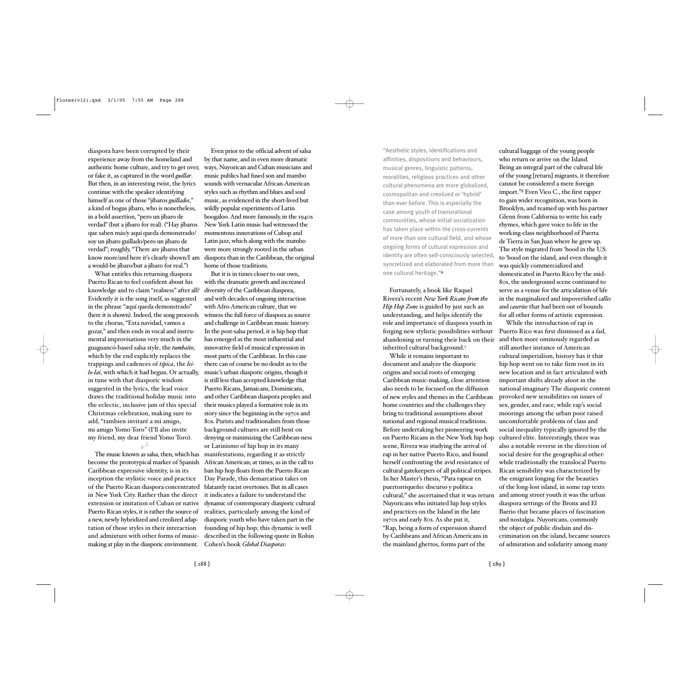diaspora have been corrupted by their experience away from the homeland and authentic home culture, and try to get over, or fake it, as captured in the word *guillar*. But then, in an interesting twist, the lyrics continue with the speaker identifying himself as one of those "jíbaros *guillados*," a kind of bogus jíbaro, who is nonetheless, in a bold assertion, "pero un jíbaro de verdad" (but a jíbaro for real). ("Hay jíbaros que saben más/y aquí queda demonstrado/ soy un jíbaro guillado/pero un jíbaro de verdad"; roughly, "There are jíbaros that know more/and here it's clearly shown/I am a would-be jíbaro/but a jíbaro for real.")

What entitles this returning diaspora Puerto Rican to feel confident about his knowledge and to claim "realness" after all? Evidently it is the song itself, as suggested in the phrase "aquí queda demonstrado" (here it is shown). Indeed, the song proceeds to the chorus, "Esta navidad, vamos a gozar," and then ends in vocal and instrumental improvisations very much in the guaguancó-based salsa style, the *tumbaito*, which by the end explicitly replaces the trappings and cadences of *típica*, the *leilo-lai*, with which it had begun. Or actually, in tune with that diasporic wisdom suggested in the lyrics, the lead voice draws the traditional holiday music into the eclectic, inclusive jam of this special Christmas celebration, making sure to add, "tambien invitaré a mi amigo, mi amigo Yomo Toro" (I'll also invite my friend, my dear friend Yomo Toro).

The music known as salsa, then, which has become the prototypical marker of Spanish Caribbean expressive identity, is in its inception the stylistic voice and practice of the Puerto Rican diaspora concentrated in New York City. Rather than the direct extension or imitation of Cuban or native Puerto Rican styles, it is rather the source of a new, newly hybridized and creolized adaptation of those styles in their interaction and admixture with other forms of musicmaking at play in the diasporic environment. Cohen's book *Global Diasporas*:

**5)**

Even prior to the official advent of salsa by that name, and in even more dramatic ways, Nuyorican and Cuban musicians and music publics had fused son and mambo sounds with vernacular African-American styles such as rhythm and blues and soul music, as evidenced in the short-lived but wildly popular experiments of Latin boogaloo. And more famously, in the 1940s New York Latin music had witnessed the momentous innovations of Cubop and Latin jazz, which along with the mambo were more strongly rooted in the urban diaspora than in the Caribbean, the original home of those traditions.

But it is in times closer to our own, with the dramatic growth and increased diversity of the Caribbean diaspora, and with decades of ongoing interaction with Afro-American culture, that we witness the full force of diaspora as source and challenge in Caribbean music history. In the post-salsa period, it is hip hop that has emerged as the most influential and innovative field of musical expression in most parts of the Caribbean. In this case there can of course be no doubt as to the music's urban diasporic origins, though it is still less than accepted knowledge that Puerto Ricans, Jamaicans, Dominicans, and other Caribbean diaspora peoples and their musics played a formative role in its story since the beginning in the 1970s and 80s. Purists and traditionalists from those background cultures are still bent on denying or minimizing the Caribbean-ness or Latinismo of hip hop in its many manifestations, regarding it as strictly African American; at times, as in the call to ban hip hop floats from the Puerto Rican Day Parade, this demarcation takes on blatantly racist overtones. But in all cases it indicates a failure to understand the dynamic of contemporary diasporic cultural realities, particularly among the kind of diasporic youth who have taken part in the founding of hip hop; this dynamic is well described in the following quote in Robin

"Aesthetic styles, identifications and affinities, dispositions and behaviours, musical genres, linguistic patterns, moralities, religious practices and other cultural phenomena are more globalized, cosmopolitan and creolized or 'hybrid' than ever before. This is especially the case among youth of transnational communities, whose initial socialization has taken place within the cross-currents of more than one cultural field, and whose ongoing forms of cultural expression and identity are often self-consciously selected, syncretized and elaborated from more than one cultural heritage."6

Fortunately, a book like Raquel Rivera's recent *New York Ricans from the Hip Hop Zone* is guided by just such an understanding, and helps identify the role and importance of diaspora youth in forging new stylistic possibilities without abandoning or turning their back on their inherited cultural background.7

While it remains important to document and analyze the diasporic origins and social roots of emerging Caribbean music-making, close attention also needs to be focused on the diffusion of new styles and themes in the Caribbean home countries and the challenges they bring to traditional assumptions about national and regional musical traditions. Before undertaking her pioneering work on Puerto Ricans in the New York hip hop scene, Rivera was studying the arrival of rap in her native Puerto Rico, and found herself confronting the avid resistance of cultural gatekeepers of all political stripes. In her Master's thesis, "Para rapear en puertorriqueño: discurso y política cultural," she ascertained that it was return Nuyoricans who initiated hip hop styles and practices on the Island in the late 1970s and early 80s. As she put it, "Rap, being a form of expression shared by Caribbeans and African Americans in the mainland ghettos, forms part of the

cultural baggage of the young people who return or arrive on the Island. Being an integral part of the cultural life of the young [return] migrants, it therefore cannot be considered a mere foreign import."8 Even Vico C., the first rapper to gain wider recognition, was born in Brooklyn, and teamed up with his partner Glenn from California to write his early rhymes, which gave voice to life in the working-class neighborhood of Puerta de Tierra in San Juan where he grew up. The style migrated from 'hood in the U.S. to 'hood on the island, and even though it was quickly commercialized and domesticated in Puerto Rico by the mid-80s, the underground scene continued to serve as a venue for the articulation of life in the marginalized and impoverished *calles* and *caseríos* that had been out of bounds for all other forms of artistic expression.

While the introduction of rap in Puerto Rico was first dismissed as a fad, and then more ominously regarded as still another instance of American cultural imperialism, history has it that hip hop went on to take firm root in its new location and in fact articulated with important shifts already afoot in the national imaginary. The diasporic content provoked new sensibilities on issues of sex, gender, and race, while rap's social moorings among the urban poor raised uncomfortable problems of class and social inequality typically ignored by the cultured elite. Interestingly, there was also a notable reverse in the direction of social desire for the geographical other: while traditionally the translocal Puerto Rican sensibility was characterized by the emigrant longing for the beauties of the long-lost island, in some rap texts and among street youth it was the urban diaspora settings of the Bronx and El Barrio that became places of fascination and nostalgia. Nuyoricans, commonly the object of public disdain and discrimination on the island, became sources of admiration and solidarity among many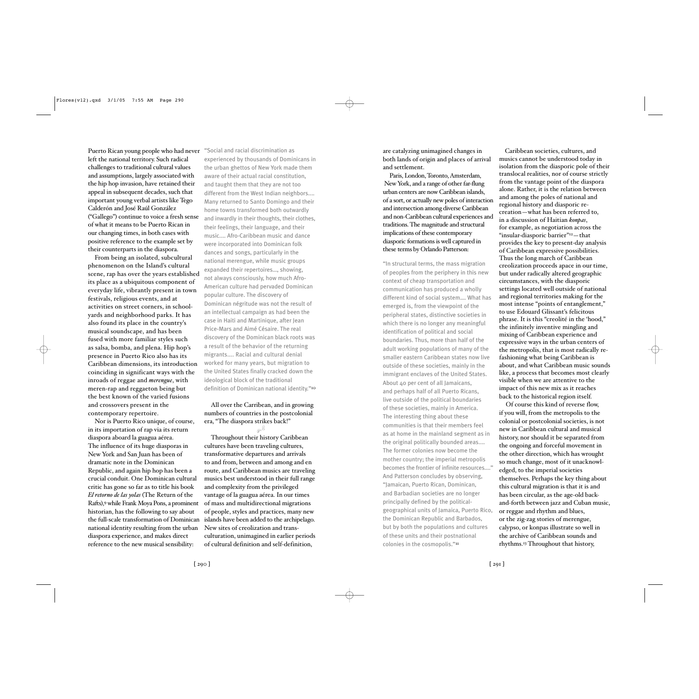Puerto Rican young people who had never "Social and racial discrimination as left the national territory. Such radical challenges to traditional cultural values and assumptions, largely associated with the hip hop invasion, have retained their appeal in subsequent decades, such that important young verbal artists like Tego Calderón and José Raúl González ("Gallego") continue to voice a fresh sense of what it means to be Puerto Rican in our changing times, in both cases with positive reference to the example set by their counterparts in the diaspora.

From being an isolated, subcultural phenomenon on the Island's cultural scene, rap has over the years established its place as a ubiquitous component of everyday life, vibrantly present in town festivals, religious events, and at activities on street corners, in schoolyards and neighborhood parks. It has also found its place in the country's musical soundscape, and has been fused with more familiar styles such as salsa, bomba, and plena. Hip hop's presence in Puerto Rico also has its Caribbean dimensions, its introduction coinciding in significant ways with the inroads of reggae and *merengue*, with meren-rap and reggaeton being but the best known of the varied fusions and crossovers present in the contemporary repertoire.

Nor is Puerto Rico unique, of course, in its importation of rap via its return diaspora aboard la guagua aérea. The influence of its huge diasporas in New York and San Juan has been of dramatic note in the Dominican Republic, and again hip hop has been a crucial conduit. One Dominican cultural critic has gone so far as to title his book *El retorno de las yolas* (The Return of the Rafts),9 while Frank Moya Pons, a prominent historian, has the following to say about the full-scale transformation of Dominican national identity resulting from the urban diaspora experience, and makes direct reference to the new musical sensibility:

experienced by thousands of Dominicans in the urban ghettos of New York made them aware of their actual racial constitution, and taught them that they are not too different from the West Indian neighbors.... Many returned to Santo Domingo and their home towns transformed both outwardly and inwardly in their thoughts, their clothes, their feelings, their language, and their music.... Afro-Caribbean music and dance were incorporated into Dominican folk dances and songs, particularly in the national merengue, while music groups expanded their repertoires…, showing, not always consciously, how much Afro-American culture had pervaded Dominican popular culture. The discovery of Dominican négritude was not the result of an intellectual campaign as had been the case in Haiti and Martinique, after Jean Price-Mars and Aimé Césaire. The real discovery of the Dominican black roots was a result of the behavior of the returning migrants.... Racial and cultural denial worked for many years, but migration to the United States finally cracked down the ideological block of the traditional definition of Dominican national identity."10

## All over the Carribean, and in growing numbers of countries in the postcolonial era, "The diaspora strikes back!"

**5)**

Throughout their history Caribbean cultures have been traveling cultures, transformative departures and arrivals to and from, between and among and en route, and Caribbean musics are traveling musics best understood in their full range and complexity from the privileged vantage of la guagua aérea. In our times of mass and multidirectional migrations of people, styles and practices, many new islands have been added to the archipelago. New sites of creolization and transculturation, unimagined in earlier periods of cultural definition and self-definition,

are catalyzing unimagined changes in both lands of origin and places of arrival and settlement.

Paris, London, Toronto, Amsterdam, New York, and a range of other far-flung urban centers are now Caribbean islands, of a sort, or actually new poles of interaction and intersection among diverse Caribbean and non-Caribbean cultural experiences and traditions. The magnitude and structural implications of these contemporary diasporic formations is well captured in these terms by Orlando Patterson:

"In structural terms, the mass migration of peoples from the periphery in this new context of cheap transportation and communication has produced a wholly different kind of social system.… What has emerged is, from the viewpoint of the peripheral states, distinctive societies in which there is no longer any meaningful identification of political and social boundaries. Thus, more than half of the adult working populations of many of the smaller eastern Caribbean states now live outside of these societies, mainly in the immigrant enclaves of the United States. About 40 per cent of all Jamaicans, and perhaps half of all Puerto Ricans, live outside of the political boundaries of these societies, mainly in America. The interesting thing about these communities is that their members feel as at home in the mainland segment as in the original politically bounded areas.... The former colonies now become the mother country; the imperial metropolis becomes the frontier of infinite resources...." And Patterson concludes by observing, "Jamaican, Puerto Rican, Dominican, and Barbadian societies are no longer principally defined by the politicalgeographical units of Jamaica, Puerto Rico, the Dominican Republic and Barbados, but by both the populations and cultures of these units and their postnational colonies in the cosmopolis."II

Caribbean societies, cultures, and musics cannot be understood today in isolation from the diasporic pole of their translocal realities, nor of course strictly from the vantage point of the diaspora alone. Rather, it is the relation between and among the poles of national and regional history and diasporic recreation—what has been referred to, in a discussion of Haitian *konpas*, for example, as negotiation across the "insular-diasporic barrier"12—that provides the key to present-day analysis of Caribbean expressive possibilities. Thus the long march of Caribbean creolization proceeds apace in our time, but under radically altered geographic circumstances, with the diasporic settings located well outside of national and regional territories making for the most intense "points of entanglement," to use Edouard Glissant's felicitous phrase. It is this "creolité in the 'hood," the infinitely inventive mingling and mixing of Caribbean experience and expressive ways in the urban centers of the metropolis, that is most radically refashioning what being Caribbean is about, and what Caribbean music sounds like, a process that becomes most clearly visible when we are attentive to the impact of this new mix as it reaches back to the historical region itself.

Of course this kind of reverse flow, if you will, from the metropolis to the colonial or postcolonial societies, is not new in Caribbean cultural and musical history, nor should it be separated from the ongoing and forceful movement in the other direction, which has wrought so much change, most of it unacknowledged, to the imperial societies themselves. Perhaps the key thing about this cultural migration is that it is and has been circular, as the age-old backand-forth between jazz and Cuban music, or reggae and rhythm and blues, or the zig-zag stories of merengue, calypso, or konpas illustrate so well in the archive of Caribbean sounds and rhythms.13 Throughout that history,